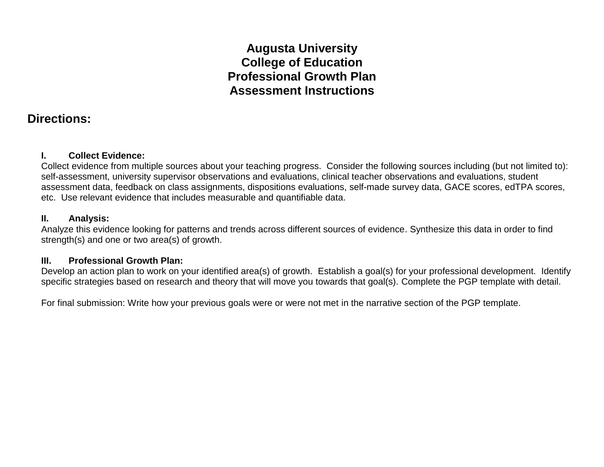# **Augusta University College of Education Professional Growth Plan Assessment Instructions**

## **Directions:**

#### **I. Collect Evidence:**

Collect evidence from multiple sources about your teaching progress. Consider the following sources including (but not limited to): self-assessment, university supervisor observations and evaluations, clinical teacher observations and evaluations, student assessment data, feedback on class assignments, dispositions evaluations, self-made survey data, GACE scores, edTPA scores, etc. Use relevant evidence that includes measurable and quantifiable data.

### **II. Analysis:**

Analyze this evidence looking for patterns and trends across different sources of evidence. Synthesize this data in order to find strength(s) and one or two area(s) of growth.

#### **III. Professional Growth Plan:**

Develop an action plan to work on your identified area(s) of growth. Establish a goal(s) for your professional development. Identify specific strategies based on research and theory that will move you towards that goal(s). Complete the PGP template with detail.

For final submission: Write how your previous goals were or were not met in the narrative section of the PGP template.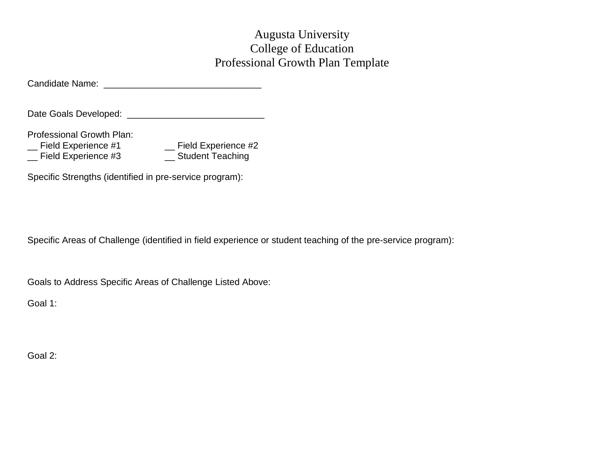## Augusta University College of Education Professional Growth Plan Template

Candidate Name: \_\_\_\_\_\_\_\_\_\_\_\_\_\_\_\_\_\_\_\_\_\_\_\_\_\_\_\_\_\_\_

Date Goals Developed: \_\_\_\_\_\_\_\_\_\_\_\_\_\_\_\_\_\_\_\_\_\_\_\_\_\_\_

Professional Growth Plan:

\_\_ Field Experience #1 \_\_ Field Experience #2

\_\_ Field Experience #3 \_\_ Student Teaching

Specific Strengths (identified in pre-service program):

Specific Areas of Challenge (identified in field experience or student teaching of the pre-service program):

Goals to Address Specific Areas of Challenge Listed Above:

Goal 1:

Goal 2: